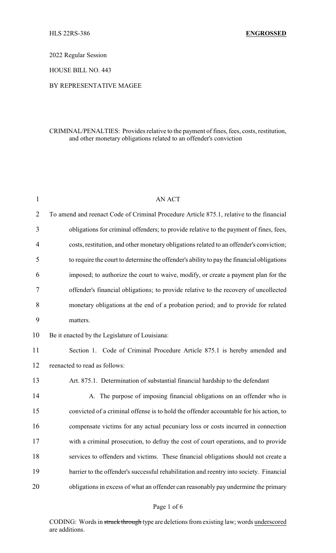2022 Regular Session

HOUSE BILL NO. 443

### BY REPRESENTATIVE MAGEE

## CRIMINAL/PENALTIES: Provides relative to the payment of fines, fees, costs, restitution, and other monetary obligations related to an offender's conviction

| $\mathbf{1}$ | <b>AN ACT</b>                                                                             |
|--------------|-------------------------------------------------------------------------------------------|
| 2            | To amend and reenact Code of Criminal Procedure Article 875.1, relative to the financial  |
| 3            | obligations for criminal offenders; to provide relative to the payment of fines, fees,    |
| 4            | costs, restitution, and other monetary obligations related to an offender's conviction;   |
| 5            | to require the court to determine the offender's ability to pay the financial obligations |
| 6            | imposed; to authorize the court to waive, modify, or create a payment plan for the        |
| 7            | offender's financial obligations; to provide relative to the recovery of uncollected      |
| 8            | monetary obligations at the end of a probation period; and to provide for related         |
| 9            | matters.                                                                                  |
| 10           | Be it enacted by the Legislature of Louisiana:                                            |
| 11           | Section 1. Code of Criminal Procedure Article 875.1 is hereby amended and                 |
| 12           | reenacted to read as follows:                                                             |
| 13           | Art. 875.1. Determination of substantial financial hardship to the defendant              |
| 14           | A. The purpose of imposing financial obligations on an offender who is                    |
| 15           | convicted of a criminal offense is to hold the offender accountable for his action, to    |
| 16           | compensate victims for any actual pecuniary loss or costs incurred in connection          |
| 17           | with a criminal prosecution, to defray the cost of court operations, and to provide       |
| 18           | services to offenders and victims. These financial obligations should not create a        |
| 19           | barrier to the offender's successful rehabilitation and reentry into society. Financial   |
| 20           | obligations in excess of what an offender can reasonably pay undermine the primary        |
|              |                                                                                           |

CODING: Words in struck through type are deletions from existing law; words underscored are additions.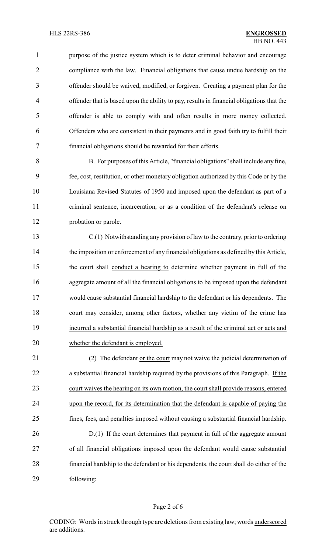1 purpose of the justice system which is to deter criminal behavior and encourage compliance with the law. Financial obligations that cause undue hardship on the offender should be waived, modified, or forgiven. Creating a payment plan for the offender that is based upon the ability to pay, results in financial obligations that the offender is able to comply with and often results in more money collected. Offenders who are consistent in their payments and in good faith try to fulfill their financial obligations should be rewarded for their efforts.

 B. For purposes of this Article, "financial obligations" shall include any fine, fee, cost, restitution, or other monetary obligation authorized by this Code or by the Louisiana Revised Statutes of 1950 and imposed upon the defendant as part of a criminal sentence, incarceration, or as a condition of the defendant's release on probation or parole.

 C.(1) Notwithstanding any provision of law to the contrary, prior to ordering the imposition or enforcement of any financial obligations as defined by this Article, the court shall conduct a hearing to determine whether payment in full of the aggregate amount of all the financial obligations to be imposed upon the defendant would cause substantial financial hardship to the defendant or his dependents. The court may consider, among other factors, whether any victim of the crime has incurred a substantial financial hardship as a result of the criminal act or acts and whether the defendant is employed.

21 (2) The defendant <u>or the court</u> may not waive the judicial determination of a substantial financial hardship required by the provisions of this Paragraph. If the court waives the hearing on its own motion, the court shall provide reasons, entered upon the record, for its determination that the defendant is capable of paying the fines, fees, and penalties imposed without causing a substantial financial hardship. 26 D.(1) If the court determines that payment in full of the aggregate amount of all financial obligations imposed upon the defendant would cause substantial

 financial hardship to the defendant or his dependents, the court shall do either of the following:

### Page 2 of 6

CODING: Words in struck through type are deletions from existing law; words underscored are additions.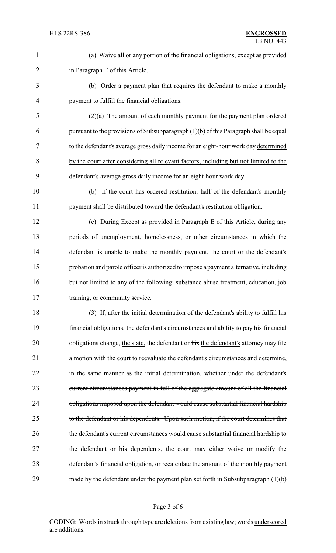| $\mathbf{1}$   | (a) Waive all or any portion of the financial obligations, except as provided           |
|----------------|-----------------------------------------------------------------------------------------|
| $\overline{2}$ | in Paragraph E of this Article.                                                         |
| 3              | (b) Order a payment plan that requires the defendant to make a monthly                  |
| $\overline{4}$ | payment to fulfill the financial obligations.                                           |
| 5              | $(2)(a)$ The amount of each monthly payment for the payment plan ordered                |
| 6              | pursuant to the provisions of Subsubparagraph $(1)(b)$ of this Paragraph shall be equal |
| 7              | to the defendant's average gross daily income for an eight-hour work day determined     |
| 8              | by the court after considering all relevant factors, including but not limited to the   |
| 9              | defendant's average gross daily income for an eight-hour work day.                      |
| 10             | (b) If the court has ordered restitution, half of the defendant's monthly               |
| 11             | payment shall be distributed toward the defendant's restitution obligation.             |
| 12             | (c) <del>During</del> Except as provided in Paragraph E of this Article, during any     |
| 13             | periods of unemployment, homelessness, or other circumstances in which the              |
| 14             | defendant is unable to make the monthly payment, the court or the defendant's           |
| 15             | probation and parole officer is authorized to impose a payment alternative, including   |
| 16             | but not limited to any of the following: substance abuse treatment, education, job      |
| 17             | training, or community service.                                                         |
| 18             | (3) If, after the initial determination of the defendant's ability to fulfill his       |
| 19             | financial obligations, the defendant's circumstances and ability to pay his financial   |
| 20             | obligations change, the state, the defendant or his the defendant's attorney may file   |
| 21             | a motion with the court to reevaluate the defendant's circumstances and determine,      |
| 22             | in the same manner as the initial determination, whether under the defendant's          |
| 23             | current circumstances payment in full of the aggregate amount of all the financial      |
| 24             | obligations imposed upon the defendant would cause substantial financial hardship       |
| 25             | to the defendant or his dependents. Upon such motion, if the court determines that      |
| 26             | the defendant's current circumstances would cause substantial financial hardship to     |
| 27             | the defendant or his dependents, the court may either waive or modify the               |
| 28             | defendant's financial obligation, or recalculate the amount of the monthly payment      |
| 29             | made by the defendant under the payment plan set forth in Subsubparagraph $(1)(b)$      |

# Page 3 of 6

CODING: Words in struck through type are deletions from existing law; words underscored are additions.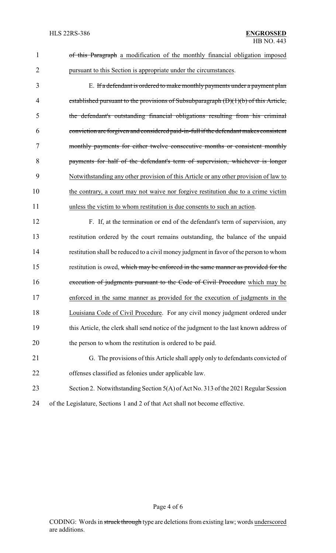| $\mathbf{1}$   | of this Paragraph a modification of the monthly financial obligation imposed           |
|----------------|----------------------------------------------------------------------------------------|
| $\overline{2}$ | pursuant to this Section is appropriate under the circumstances.                       |
| 3              | E. If a defendant is ordered to make monthly payments under a payment plan             |
| 4              | established pursuant to the provisions of Subsubparagraph (D)(1)(b) of this Article,   |
| 5              | the defendant's outstanding financial obligations resulting from his criminal          |
| 6              | conviction are forgiven and considered paid-in-full if the defendant makes consistent  |
| $\tau$         | monthly payments for either twelve consecutive months or consistent monthly            |
| 8              | payments for half of the defendant's term of supervision, whichever is longer          |
| 9              | Notwithstanding any other provision of this Article or any other provision of law to   |
| 10             | the contrary, a court may not waive nor forgive restitution due to a crime victim      |
| 11             | unless the victim to whom restitution is due consents to such an action.               |
| 12             | F. If, at the termination or end of the defendant's term of supervision, any           |
| 13             | restitution ordered by the court remains outstanding, the balance of the unpaid        |
| 14             | restitution shall be reduced to a civil money judgment in favor of the person to whom  |
| 15             | restitution is owed, which may be enforced in the same manner as provided for the      |
| 16             | execution of judgments pursuant to the Code of Civil Procedure which may be            |
| 17             | enforced in the same manner as provided for the execution of judgments in the          |
| 18             | Louisiana Code of Civil Procedure. For any civil money judgment ordered under          |
| 19             | this Article, the clerk shall send notice of the judgment to the last known address of |
| 20             | the person to whom the restitution is ordered to be paid.                              |
| 21             | G. The provisions of this Article shall apply only to defendants convicted of          |
| 22             | offenses classified as felonies under applicable law.                                  |
| 23             | Section 2. Notwithstanding Section 5(A) of Act No. 313 of the 2021 Regular Session     |
| 24             | of the Legislature, Sections 1 and 2 of that Act shall not become effective.           |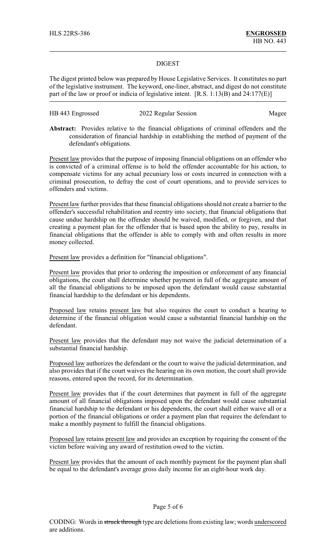### DIGEST

The digest printed below was prepared by House Legislative Services. It constitutes no part of the legislative instrument. The keyword, one-liner, abstract, and digest do not constitute part of the law or proof or indicia of legislative intent. [R.S. 1:13(B) and 24:177(E)]

| HB 443 Engrossed | 2022 Regular Session | Magee |
|------------------|----------------------|-------|
|------------------|----------------------|-------|

**Abstract:** Provides relative to the financial obligations of criminal offenders and the consideration of financial hardship in establishing the method of payment of the defendant's obligations.

Present law provides that the purpose of imposing financial obligations on an offender who is convicted of a criminal offense is to hold the offender accountable for his action, to compensate victims for any actual pecuniary loss or costs incurred in connection with a criminal prosecution, to defray the cost of court operations, and to provide services to offenders and victims.

Present law further provides that these financial obligations should not create a barrier to the offender's successful rehabilitation and reentry into society, that financial obligations that cause undue hardship on the offender should be waived, modified, or forgiven, and that creating a payment plan for the offender that is based upon the ability to pay, results in financial obligations that the offender is able to comply with and often results in more money collected.

Present law provides a definition for "financial obligations".

Present law provides that prior to ordering the imposition or enforcement of any financial obligations, the court shall determine whether payment in full of the aggregate amount of all the financial obligations to be imposed upon the defendant would cause substantial financial hardship to the defendant or his dependents.

Proposed law retains present law but also requires the court to conduct a hearing to determine if the financial obligation would cause a substantial financial hardship on the defendant.

Present law provides that the defendant may not waive the judicial determination of a substantial financial hardship.

Proposed law authorizes the defendant or the court to waive the judicial determination, and also provides that if the court waives the hearing on its own motion, the court shall provide reasons, entered upon the record, for its determination.

Present law provides that if the court determines that payment in full of the aggregate amount of all financial obligations imposed upon the defendant would cause substantial financial hardship to the defendant or his dependents, the court shall either waive all or a portion of the financial obligations or order a payment plan that requires the defendant to make a monthly payment to fulfill the financial obligations.

Proposed law retains present law and provides an exception by requiring the consent of the victim before waiving any award of restitution owed to the victim.

Present law provides that the amount of each monthly payment for the payment plan shall be equal to the defendant's average gross daily income for an eight-hour work day.